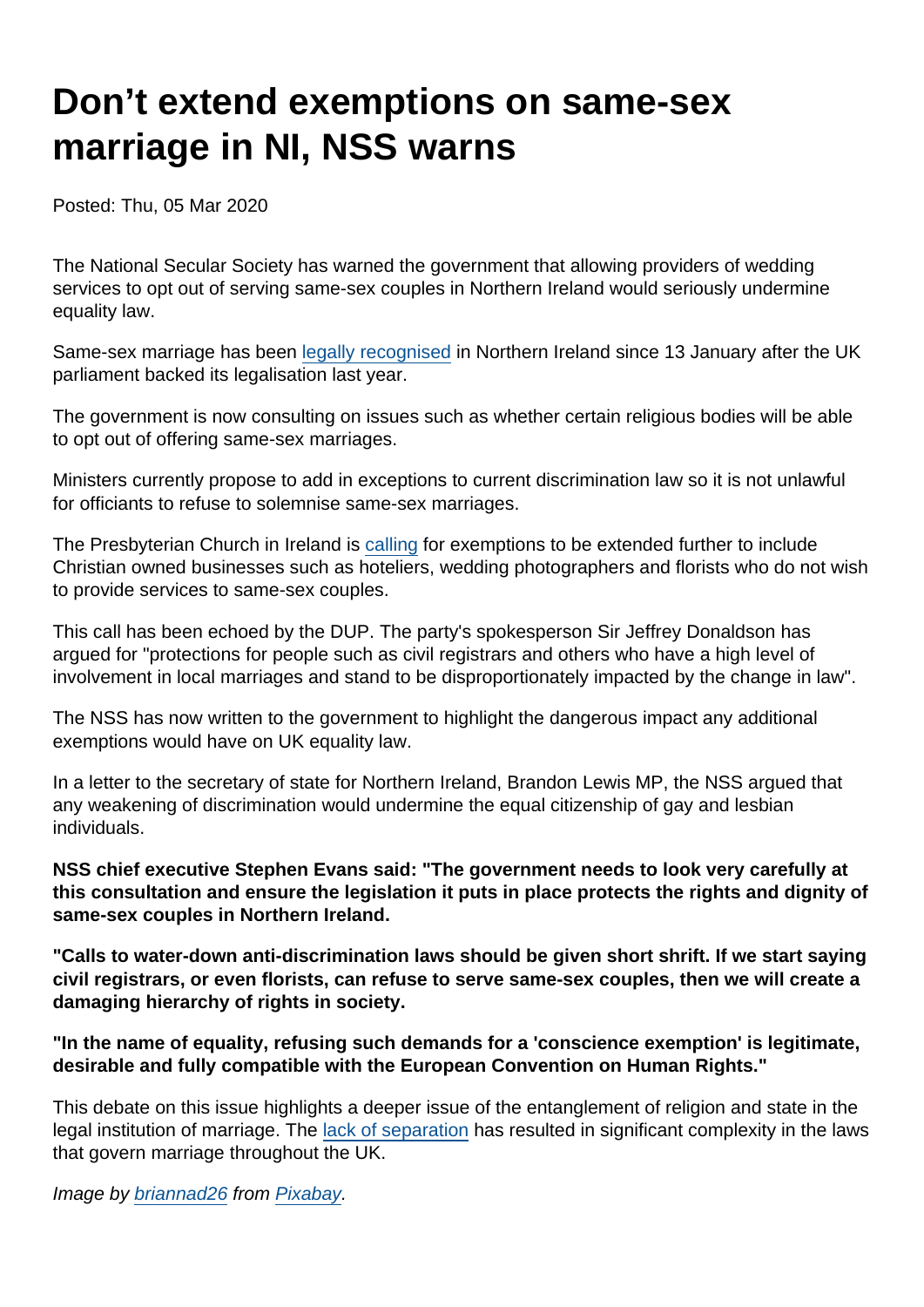# Don't extend exemptions on same-sex marriage in NI, NSS warns

Posted: Thu, 05 Mar 2020

The National Secular Society has warned the government that allowing providers of wedding services to opt out of serving same-sex couples in Northern Ireland would seriously undermine equality law.

Same-sex marriage has been [legally recognised](https://www.bbc.co.uk/news/uk-northern-ireland-51086276) in Northern Ireland since 13 January after the UK parliament backed its legalisation last year.

The government is now consulting on issues such as whether certain religious bodies will be able to opt out of offering same-sex marriages.

Ministers currently propose to add in exceptions to current discrimination law so it is not unlawful for officiants to refuse to solemnise same-sex marriages.

The Presbyterian Church in Ireland is [calling](https://www.newsletter.co.uk/news/politics/same-sex-marriage-presbyterians-say-law-defend-christians-human-rights-may-be-needed-1886013) for exemptions to be extended further to include Christian owned businesses such as hoteliers, wedding photographers and florists who do not wish to provide services to same-sex couples.

This call has been echoed by the DUP. The party's spokesperson Sir Jeffrey Donaldson has argued for "protections for people such as civil registrars and others who have a high level of involvement in local marriages and stand to be disproportionately impacted by the change in law".

The NSS has now written to the government to highlight the dangerous impact any additional exemptions would have on UK equality law.

In a letter to the secretary of state for Northern Ireland, Brandon Lewis MP, the NSS argued that any weakening of discrimination would undermine the equal citizenship of gay and lesbian individuals.

NSS chief executive Stephen Evans said: "The government needs to look very carefully at this consultation and ensure the legislation it puts in place protects the rights and dignity of same-sex couples in Northern Ireland.

"Calls to water-down anti-discrimination laws should be given short shrift. If we start saying civil registrars, or even florists, can refuse to serve same-sex couples, then we will create a damaging hierarchy of rights in society.

"In the name of equality, refusing such demands for a 'conscience exemption' is legitimate, desirable and fully compatible with the European Convention on Human Rights."

This debate on this issue highlights a deeper issue of the entanglement of religion and state in the legal institution of marriage. The [lack of separation](https://www.secularism.org.uk/marriage-equality/) has resulted in significant complexity in the laws that govern marriage throughout the UK.

Image by [briannad26](https://pixabay.com/users/briannad26-5340559/?utm_source=link-attribution&utm_medium=referral&utm_campaign=image&utm_content=2308279) from [Pixabay](https://pixabay.com/?utm_source=link-attribution&utm_medium=referral&utm_campaign=image&utm_content=2308279).